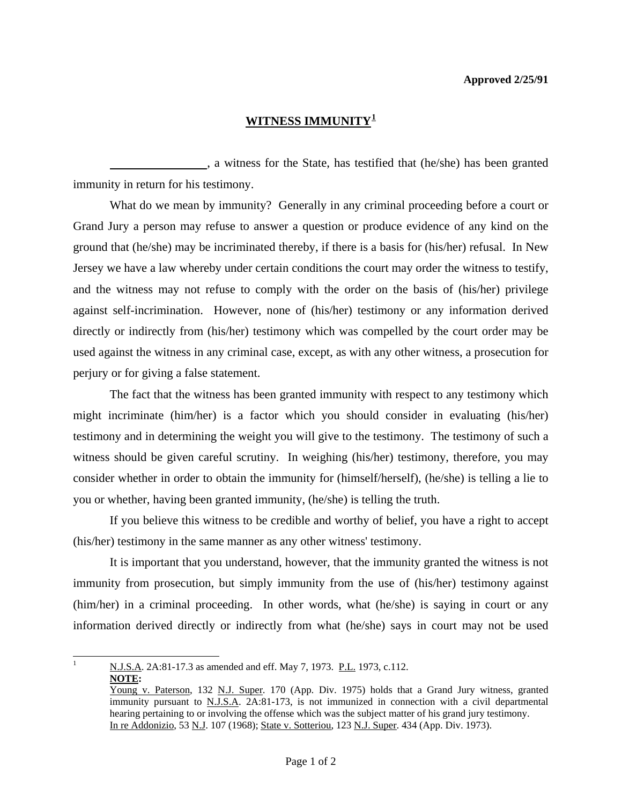## **Approved 2/25/91**

## **WITNESS IMMUNITY[1](#page-0-0)**

 , a witness for the State, has testified that (he/she) has been granted immunity in return for his testimony.

 What do we mean by immunity? Generally in any criminal proceeding before a court or Grand Jury a person may refuse to answer a question or produce evidence of any kind on the ground that (he/she) may be incriminated thereby, if there is a basis for (his/her) refusal. In New Jersey we have a law whereby under certain conditions the court may order the witness to testify, and the witness may not refuse to comply with the order on the basis of (his/her) privilege against self-incrimination. However, none of (his/her) testimony or any information derived directly or indirectly from (his/her) testimony which was compelled by the court order may be used against the witness in any criminal case, except, as with any other witness, a prosecution for perjury or for giving a false statement.

 The fact that the witness has been granted immunity with respect to any testimony which might incriminate (him/her) is a factor which you should consider in evaluating (his/her) testimony and in determining the weight you will give to the testimony. The testimony of such a witness should be given careful scrutiny. In weighing (his/her) testimony, therefore, you may consider whether in order to obtain the immunity for (himself/herself), (he/she) is telling a lie to you or whether, having been granted immunity, (he/she) is telling the truth.

 If you believe this witness to be credible and worthy of belief, you have a right to accept (his/her) testimony in the same manner as any other witness' testimony.

 It is important that you understand, however, that the immunity granted the witness is not immunity from prosecution, but simply immunity from the use of (his/her) testimony against (him/her) in a criminal proceeding. In other words, what (he/she) is saying in court or any information derived directly or indirectly from what (he/she) says in court may not be used

<span id="page-0-0"></span>|<br>|<br>| N.J.S.A. 2A:81-17.3 as amended and eff. May 7, 1973. P.L. 1973, c.112. **NOTE:** 

Young v. Paterson, 132 N.J. Super. 170 (App. Div. 1975) holds that a Grand Jury witness, granted immunity pursuant to N.J.S.A. 2A:81-173, is not immunized in connection with a civil departmental hearing pertaining to or involving the offense which was the subject matter of his grand jury testimony. In re Addonizio, 53 N.J. 107 (1968); State v. Sotteriou, 123 N.J. Super. 434 (App. Div. 1973).